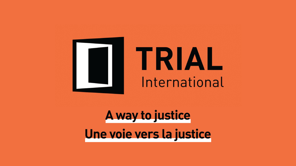



A way to justice Une voie vers la justice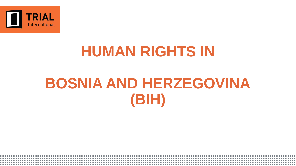

# **HUMAN RIGHTS IN**

# **BOSNIA AND HERZEGOVINA (BIH)**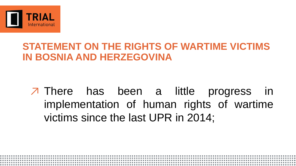

#### **STATEMENT ON THE RIGHTS OF WARTIME VICTIMS IN BOSNIA AND HERZEGOVINA**

### ↗ There has been a little progress in implementation of human rights of wartime victims since the last UPR in 2014;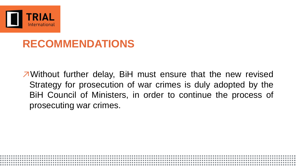

↗Without further delay, BiH must ensure that the new revised Strategy for prosecution of war crimes is duly adopted by the BiH Council of Ministers, in order to continue the process of prosecuting war crimes.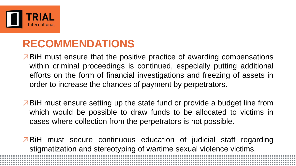

- ↗BiH must ensure that the positive practice of awarding compensations within criminal proceedings is continued, especially putting additional efforts on the form of financial investigations and freezing of assets in order to increase the chances of payment by perpetrators.
- ↗BiH must ensure setting up the state fund or provide a budget line from which would be possible to draw funds to be allocated to victims in cases where collection from the perpetrators is not possible.

↗BiH must secure continuous education of judicial staff regarding stigmatization and stereotyping of wartime sexual violence victims.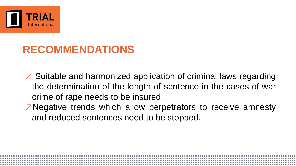

- ↗ Suitable and harmonized application of criminal laws regarding the determination of the length of sentence in the cases of war crime of rape needs to be insured.
- ↗Negative trends which allow perpetrators to receive amnesty and reduced sentences need to be stopped.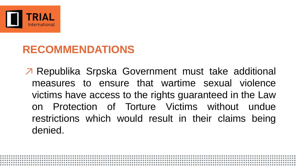

↗ Republika Srpska Government must take additional measures to ensure that wartime sexual violence victims have access to the rights guaranteed in the Law on Protection of Torture Victims without undue restrictions which would result in their claims being denied.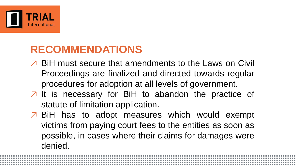

- ↗ BiH must secure that amendments to the Laws on Civil Proceedings are finalized and directed towards regular procedures for adoption at all levels of government.
- ↗ It is necessary for BiH to abandon the practice of statute of limitation application.
- ↗ BiH has to adopt measures which would exempt victims from paying court fees to the entities as soon as possible, in cases where their claims for damages were denied.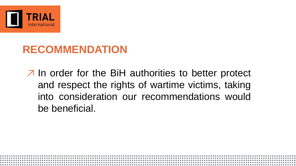

↗ In order for the BiH authorities to better protect and respect the rights of wartime victims, taking into consideration our recommendations would be beneficial.